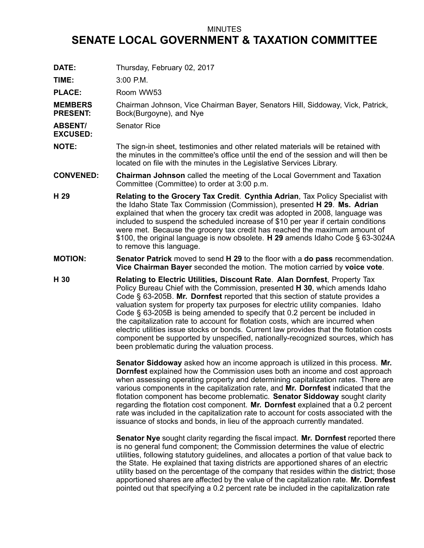## MINUTES

## **SENATE LOCAL GOVERNMENT & TAXATION COMMITTEE**

**DATE:** Thursday, February 02, 2017

**TIME:** 3:00 P.M.

PLACE: Room WW53

**MEMBERS PRESENT:** Chairman Johnson, Vice Chairman Bayer, Senators Hill, Siddoway, Vick, Patrick, Bock(Burgoyne), and Nye

**ABSENT/** Senator Rice

**EXCUSED:**

**NOTE:** The sign-in sheet, testimonies and other related materials will be retained with the minutes in the committee's office until the end of the session and will then be located on file with the minutes in the Legislative Services Library.

**CONVENED: Chairman Johnson** called the meeting of the Local Government and Taxation Committee (Committee) to order at 3:00 p.m.

- **H 29 Relating to the Grocery Tax Credit**. **Cynthia Adrian**, Tax Policy Specialist with the Idaho State Tax Commission (Commission), presented **H 29**. **Ms. Adrian** explained that when the grocery tax credit was adopted in 2008, language was included to suspend the scheduled increase of \$10 per year if certain conditions were met. Because the grocery tax credit has reached the maximum amount of \$100, the original language is now obsolete. **H 29** amends Idaho Code § 63-3024A to remove this language.
- **MOTION: Senator Patrick** moved to send **H 29** to the floor with <sup>a</sup> **do pass** recommendation. **Vice Chairman Bayer** seconded the motion. The motion carried by **voice vote**.
- **H 30 Relating to Electric Utilities, Discount Rate**. **Alan Dornfest**, Property Tax Policy Bureau Chief with the Commission, presented **H 30**, which amends Idaho Code § 63-205B. **Mr. Dornfest** reported that this section of statute provides <sup>a</sup> valuation system for property tax purposes for electric utility companies. Idaho Code § 63-205B is being amended to specify that 0.2 percent be included in the capitalization rate to account for flotation costs, which are incurred when electric utilities issue stocks or bonds. Current law provides that the flotation costs component be supported by unspecified, nationally-recognized sources, which has been problematic during the valuation process.

**Senator Siddoway** asked how an income approach is utilized in this process. **Mr. Dornfest** explained how the Commission uses both an income and cost approach when assessing operating property and determining capitalization rates. There are various components in the capitalization rate, and **Mr. Dornfest** indicated that the flotation component has become problematic. **Senator Siddoway** sought clarity regarding the flotation cost component. **Mr. Dornfest** explained that <sup>a</sup> 0.2 percent rate was included in the capitalization rate to account for costs associated with the issuance of stocks and bonds, in lieu of the approach currently mandated.

**Senator Nye** sought clarity regarding the fiscal impact. **Mr. Dornfest** reported there is no general fund component; the Commission determines the value of electric utilities, following statutory guidelines, and allocates <sup>a</sup> portion of that value back to the State. He explained that taxing districts are apportioned shares of an electric utility based on the percentage of the company that resides within the district; those apportioned shares are affected by the value of the capitalization rate. **Mr. Dornfest** pointed out that specifying <sup>a</sup> 0.2 percent rate be included in the capitalization rate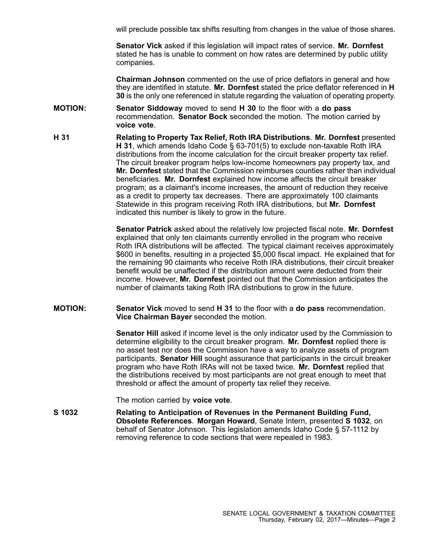will preclude possible tax shifts resulting from changes in the value of those shares.

**Senator Vick** asked if this legislation will impact rates of service. **Mr. Dornfest** stated he has is unable to comment on how rates are determined by public utility companies.

**Chairman Johnson** commented on the use of price deflators in general and how they are identified in statute. **Mr. Dornfest** stated the price deflator referenced in **H 30** is the only one referenced in statute regarding the valuation of operating property.

- **MOTION: Senator Siddoway** moved to send **H 30** to the floor with <sup>a</sup> **do pass** recommendation. **Senator Bock** seconded the motion. The motion carried by **voice vote**.
- **H 31 Relating to Property Tax Relief, Roth IRA Distributions**. **Mr. Dornfest** presented **H 31**, which amends Idaho Code § 63-701(5) to exclude non-taxable Roth IRA distributions from the income calculation for the circuit breaker property tax relief. The circuit breaker program helps low-income homeowners pay property tax, and **Mr. Dornfest** stated that the Commission reimburses counties rather than individual beneficiaries. **Mr. Dornfest** explained how income affects the circuit breaker program; as <sup>a</sup> claimant's income increases, the amount of reduction they receive as <sup>a</sup> credit to property tax decreases. There are approximately 100 claimants Statewide in this program receiving Roth IRA distributions, but **Mr. Dornfest** indicated this number is likely to grow in the future.

**Senator Patrick** asked about the relatively low projected fiscal note. **Mr. Dornfest** explained that only ten claimants currently enrolled in the program who receive Roth IRA distributions will be affected. The typical claimant receives approximately \$600 in benefits, resulting in <sup>a</sup> projected \$5,000 fiscal impact. He explained that for the remaining 90 claimants who receive Roth IRA distributions, their circuit breaker benefit would be unaffected if the distribution amount were deducted from their income. However, **Mr. Dornfest** pointed out that the Commission anticipates the number of claimants taking Roth IRA distributions to grow in the future.

**MOTION: Senator Vick** moved to send **H 31** to the floor with <sup>a</sup> **do pass** recommendation. **Vice Chairman Bayer** seconded the motion.

> **Senator Hill** asked if income level is the only indicator used by the Commission to determine eligibility to the circuit breaker program. **Mr. Dornfest** replied there is no asset test nor does the Commission have <sup>a</sup> way to analyze assets of program participants. **Senator Hill** sought assurance that participants in the circuit breaker program who have Roth IRAs will not be taxed twice. **Mr. Dornfest** replied that the distributions received by most participants are not great enough to meet that threshold or affect the amount of property tax relief they receive.

The motion carried by **voice vote**.

**S 1032 Relating to Anticipation of Revenues in the Permanent Building Fund, Obsolete References**. **Morgan Howard**, Senate Intern, presented **S 1032**, on behalf of Senator Johnson. This legislation amends Idaho Code § 57-1112 by removing reference to code sections that were repealed in 1983.